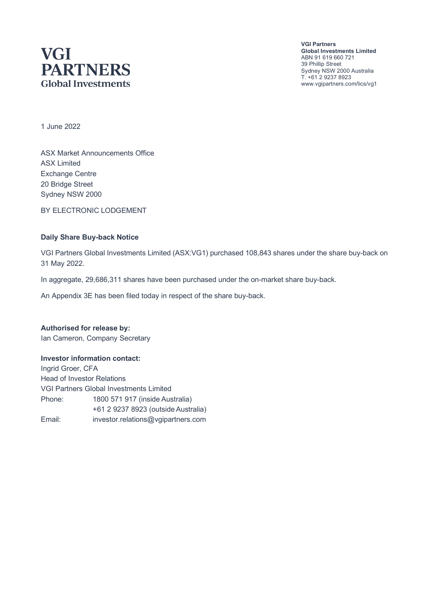# **VGI PARTNERS Global Investments**

**VGI Partners Global Investments Limited** ABN 91 619 660 721 39 Phillip Street Sydney NSW 2000 Australia T. +61 2 9237 8923 www.vgipartners.com/lics/vg1

1 June 2022

ASX Market Announcements Office ASX Limited Exchange Centre 20 Bridge Street Sydney NSW 2000

BY ELECTRONIC LODGEMENT

#### **Daily Share Buy-back Notice**

VGI Partners Global Investments Limited (ASX:VG1) purchased 108,843 shares under the share buy-back on 31 May 2022.

In aggregate, 29,686,311 shares have been purchased under the on-market share buy-back.

An Appendix 3E has been filed today in respect of the share buy-back.

#### **Authorised for release by:**

Ian Cameron, Company Secretary

#### **Investor information contact:**

Ingrid Groer, CFA Head of Investor Relations VGI Partners Global Investments Limited Phone: 1800 571 917 (inside Australia) +61 2 9237 8923 (outside Australia) Email: investor.relations@vgipartners.com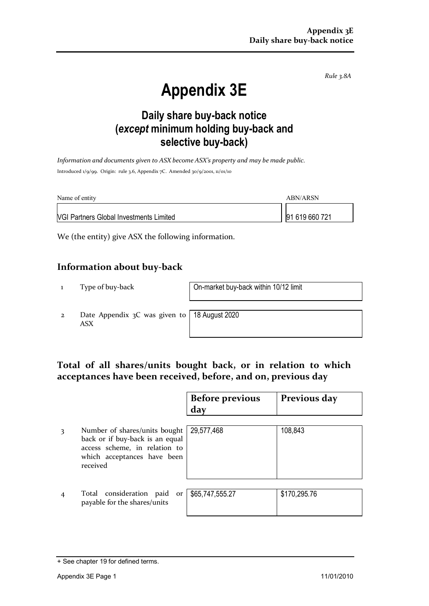*Rule 3.8A*

# **Appendix 3E**

# **Daily share buy-back notice (***except* **minimum holding buy-back and selective buy-back)**

*Information and documents given to ASX become ASX's property and may be made public.* Introduced 1/9/99. Origin: rule 3.6, Appendix 7C. Amended 30/9/2001, 11/01/10

| Name of entity                                 | ARN/ARSN       |
|------------------------------------------------|----------------|
| <b>VGI Partners Global Investments Limited</b> | 91 619 660 721 |

We (the entity) give ASX the following information.

### **Information about buy-back**

1 Type of buy-back On-market buy-back within 10/12 limit

2 Date Appendix 3C was given to ASX

18 August 2020

## **Total of all shares/units bought back, or in relation to which acceptances have been received, before, and on, previous day**

|   |                                                                                                                                              | <b>Before previous</b><br>day | Previous day |
|---|----------------------------------------------------------------------------------------------------------------------------------------------|-------------------------------|--------------|
| 3 | Number of shares/units bought<br>back or if buy-back is an equal<br>access scheme, in relation to<br>which acceptances have been<br>received | 29,577,468                    | 108,843      |
|   | Total consideration paid<br>or<br>payable for the shares/units                                                                               | \$65,747,555.27               | \$170,295.76 |

<sup>+</sup> See chapter 19 for defined terms.